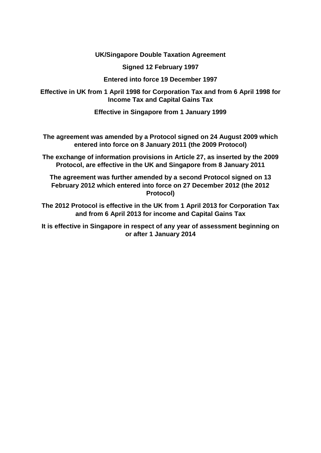**UK/Singapore Double Taxation Agreement**

**Signed 12 February 1997**

**Entered into force 19 December 1997**

**Effective in UK from 1 April 1998 for Corporation Tax and from 6 April 1998 for Income Tax and Capital Gains Tax**

**Effective in Singapore from 1 January 1999**

**The agreement was amended by a Protocol signed on 24 August 2009 which entered into force on 8 January 2011 (the 2009 Protocol)**

**The exchange of information provisions in Article 27, as inserted by the 2009 Protocol, are effective in the UK and Singapore from 8 January 2011**

**The agreement was further amended by a second Protocol signed on 13 February 2012 which entered into force on 27 December 2012 (the 2012 Protocol)**

**The 2012 Protocol is effective in the UK from 1 April 2013 for Corporation Tax and from 6 April 2013 for income and Capital Gains Tax**

**It is effective in Singapore in respect of any year of assessment beginning on or after 1 January 2014**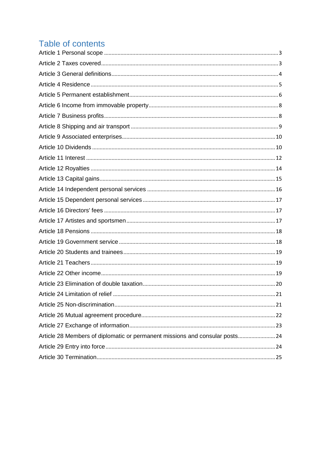# Table of contents

| Article 28 Members of diplomatic or permanent missions and consular posts 24 |  |
|------------------------------------------------------------------------------|--|
|                                                                              |  |
|                                                                              |  |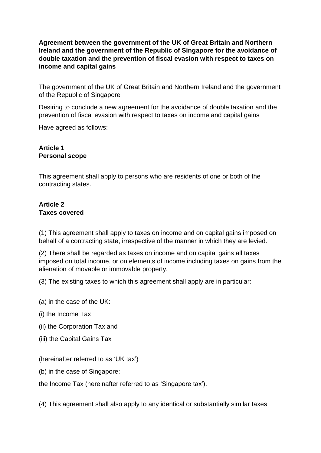**Agreement between the government of the UK of Great Britain and Northern Ireland and the government of the Republic of Singapore for the avoidance of double taxation and the prevention of fiscal evasion with respect to taxes on income and capital gains**

The government of the UK of Great Britain and Northern Ireland and the government of the Republic of Singapore

Desiring to conclude a new agreement for the avoidance of double taxation and the prevention of fiscal evasion with respect to taxes on income and capital gains

Have agreed as follows:

<span id="page-2-0"></span>**Article 1 Personal scope**

This agreement shall apply to persons who are residents of one or both of the contracting states.

#### <span id="page-2-1"></span>**Article 2 Taxes covered**

(1) This agreement shall apply to taxes on income and on capital gains imposed on behalf of a contracting state, irrespective of the manner in which they are levied.

(2) There shall be regarded as taxes on income and on capital gains all taxes imposed on total income, or on elements of income including taxes on gains from the alienation of movable or immovable property.

(3) The existing taxes to which this agreement shall apply are in particular:

- (a) in the case of the UK:
- (i) the Income Tax
- (ii) the Corporation Tax and
- (iii) the Capital Gains Tax

(hereinafter referred to as 'UK tax')

(b) in the case of Singapore:

the Income Tax (hereinafter referred to as 'Singapore tax').

(4) This agreement shall also apply to any identical or substantially similar taxes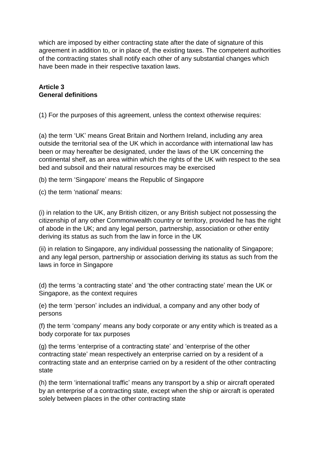which are imposed by either contracting state after the date of signature of this agreement in addition to, or in place of, the existing taxes. The competent authorities of the contracting states shall notify each other of any substantial changes which have been made in their respective taxation laws.

## <span id="page-3-0"></span>**Article 3 General definitions**

(1) For the purposes of this agreement, unless the context otherwise requires:

(a) the term 'UK' means Great Britain and Northern Ireland, including any area outside the territorial sea of the UK which in accordance with international law has been or may hereafter be designated, under the laws of the UK concerning the continental shelf, as an area within which the rights of the UK with respect to the sea bed and subsoil and their natural resources may be exercised

(b) the term 'Singapore' means the Republic of Singapore

(c) the term 'national' means:

(i) in relation to the UK, any British citizen, or any British subject not possessing the citizenship of any other Commonwealth country or territory, provided he has the right of abode in the UK; and any legal person, partnership, association or other entity deriving its status as such from the law in force in the UK

(ii) in relation to Singapore, any individual possessing the nationality of Singapore; and any legal person, partnership or association deriving its status as such from the laws in force in Singapore

(d) the terms 'a contracting state' and 'the other contracting state' mean the UK or Singapore, as the context requires

(e) the term 'person' includes an individual, a company and any other body of persons

(f) the term 'company' means any body corporate or any entity which is treated as a body corporate for tax purposes

(g) the terms 'enterprise of a contracting state' and 'enterprise of the other contracting state' mean respectively an enterprise carried on by a resident of a contracting state and an enterprise carried on by a resident of the other contracting state

(h) the term 'international traffic' means any transport by a ship or aircraft operated by an enterprise of a contracting state, except when the ship or aircraft is operated solely between places in the other contracting state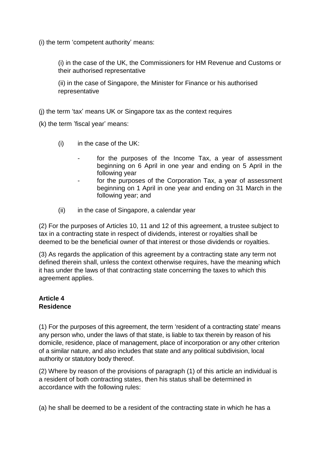(i) the term 'competent authority' means:

(i) in the case of the UK, the Commissioners for HM Revenue and Customs or their authorised representative

(ii) in the case of Singapore, the Minister for Finance or his authorised representative

(j) the term 'tax' means UK or Singapore tax as the context requires

(k) the term 'fiscal year' means:

- (i) in the case of the UK:
	- for the purposes of the Income Tax, a year of assessment beginning on 6 April in one year and ending on 5 April in the following year
	- for the purposes of the Corporation Tax, a year of assessment beginning on 1 April in one year and ending on 31 March in the following year; and
- (ii) in the case of Singapore, a calendar year

(2) For the purposes of Articles 10, 11 and 12 of this agreement, a trustee subject to tax in a contracting state in respect of dividends, interest or royalties shall be deemed to be the beneficial owner of that interest or those dividends or royalties.

(3) As regards the application of this agreement by a contracting state any term not defined therein shall, unless the context otherwise requires, have the meaning which it has under the laws of that contracting state concerning the taxes to which this agreement applies.

#### <span id="page-4-0"></span>**Article 4 Residence**

(1) For the purposes of this agreement, the term 'resident of a contracting state' means any person who, under the laws of that state, is liable to tax therein by reason of his domicile, residence, place of management, place of incorporation or any other criterion of a similar nature, and also includes that state and any political subdivision, local authority or statutory body thereof.

(2) Where by reason of the provisions of paragraph (1) of this article an individual is a resident of both contracting states, then his status shall be determined in accordance with the following rules:

(a) he shall be deemed to be a resident of the contracting state in which he has a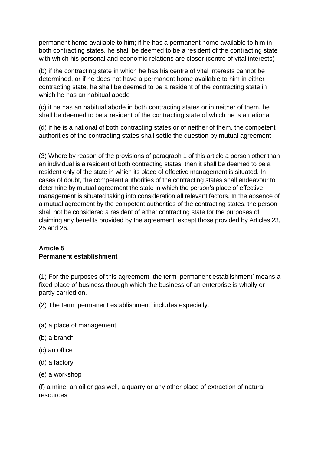permanent home available to him; if he has a permanent home available to him in both contracting states, he shall be deemed to be a resident of the contracting state with which his personal and economic relations are closer (centre of vital interests)

(b) if the contracting state in which he has his centre of vital interests cannot be determined, or if he does not have a permanent home available to him in either contracting state, he shall be deemed to be a resident of the contracting state in which he has an habitual abode

(c) if he has an habitual abode in both contracting states or in neither of them, he shall be deemed to be a resident of the contracting state of which he is a national

(d) if he is a national of both contracting states or of neither of them, the competent authorities of the contracting states shall settle the question by mutual agreement

(3) Where by reason of the provisions of paragraph 1 of this article a person other than an individual is a resident of both contracting states, then it shall be deemed to be a resident only of the state in which its place of effective management is situated. In cases of doubt, the competent authorities of the contracting states shall endeavour to determine by mutual agreement the state in which the person's place of effective management is situated taking into consideration all relevant factors. In the absence of a mutual agreement by the competent authorities of the contracting states, the person shall not be considered a resident of either contracting state for the purposes of claiming any benefits provided by the agreement, except those provided by Articles 23, 25 and 26.

## <span id="page-5-0"></span>**Article 5 Permanent establishment**

(1) For the purposes of this agreement, the term 'permanent establishment' means a fixed place of business through which the business of an enterprise is wholly or partly carried on.

(2) The term 'permanent establishment' includes especially:

- (a) a place of management
- (b) a branch
- (c) an office
- (d) a factory
- (e) a workshop

(f) a mine, an oil or gas well, a quarry or any other place of extraction of natural resources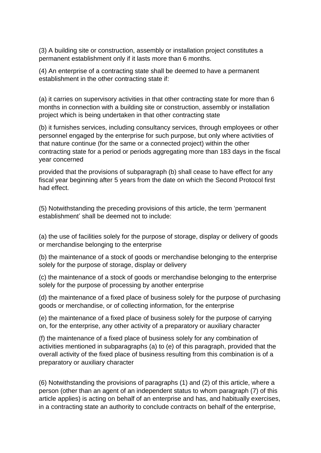(3) A building site or construction, assembly or installation project constitutes a permanent establishment only if it lasts more than 6 months.

(4) An enterprise of a contracting state shall be deemed to have a permanent establishment in the other contracting state if:

(a) it carries on supervisory activities in that other contracting state for more than 6 months in connection with a building site or construction, assembly or installation project which is being undertaken in that other contracting state

(b) it furnishes services, including consultancy services, through employees or other personnel engaged by the enterprise for such purpose, but only where activities of that nature continue (for the same or a connected project) within the other contracting state for a period or periods aggregating more than 183 days in the fiscal year concerned

provided that the provisions of subparagraph (b) shall cease to have effect for any fiscal year beginning after 5 years from the date on which the Second Protocol first had effect.

(5) Notwithstanding the preceding provisions of this article, the term 'permanent establishment' shall be deemed not to include:

(a) the use of facilities solely for the purpose of storage, display or delivery of goods or merchandise belonging to the enterprise

(b) the maintenance of a stock of goods or merchandise belonging to the enterprise solely for the purpose of storage, display or delivery

(c) the maintenance of a stock of goods or merchandise belonging to the enterprise solely for the purpose of processing by another enterprise

(d) the maintenance of a fixed place of business solely for the purpose of purchasing goods or merchandise, or of collecting information, for the enterprise

(e) the maintenance of a fixed place of business solely for the purpose of carrying on, for the enterprise, any other activity of a preparatory or auxiliary character

(f) the maintenance of a fixed place of business solely for any combination of activities mentioned in subparagraphs (a) to (e) of this paragraph, provided that the overall activity of the fixed place of business resulting from this combination is of a preparatory or auxiliary character

(6) Notwithstanding the provisions of paragraphs (1) and (2) of this article, where a person (other than an agent of an independent status to whom paragraph (7) of this article applies) is acting on behalf of an enterprise and has, and habitually exercises, in a contracting state an authority to conclude contracts on behalf of the enterprise,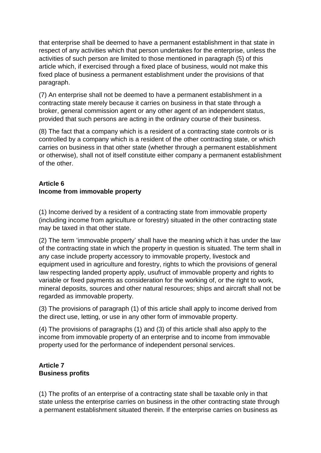that enterprise shall be deemed to have a permanent establishment in that state in respect of any activities which that person undertakes for the enterprise, unless the activities of such person are limited to those mentioned in paragraph (5) of this article which, if exercised through a fixed place of business, would not make this fixed place of business a permanent establishment under the provisions of that paragraph.

(7) An enterprise shall not be deemed to have a permanent establishment in a contracting state merely because it carries on business in that state through a broker, general commission agent or any other agent of an independent status, provided that such persons are acting in the ordinary course of their business.

(8) The fact that a company which is a resident of a contracting state controls or is controlled by a company which is a resident of the other contracting state, or which carries on business in that other state (whether through a permanent establishment or otherwise), shall not of itself constitute either company a permanent establishment of the other.

# <span id="page-7-0"></span>**Article 6 Income from immovable property**

(1) Income derived by a resident of a contracting state from immovable property (including income from agriculture or forestry) situated in the other contracting state may be taxed in that other state.

(2) The term 'immovable property' shall have the meaning which it has under the law of the contracting state in which the property in question is situated. The term shall in any case include property accessory to immovable property, livestock and equipment used in agriculture and forestry, rights to which the provisions of general law respecting landed property apply, usufruct of immovable property and rights to variable or fixed payments as consideration for the working of, or the right to work, mineral deposits, sources and other natural resources; ships and aircraft shall not be regarded as immovable property.

(3) The provisions of paragraph (1) of this article shall apply to income derived from the direct use, letting, or use in any other form of immovable property.

(4) The provisions of paragraphs (1) and (3) of this article shall also apply to the income from immovable property of an enterprise and to income from immovable property used for the performance of independent personal services.

#### <span id="page-7-1"></span>**Article 7 Business profits**

(1) The profits of an enterprise of a contracting state shall be taxable only in that state unless the enterprise carries on business in the other contracting state through a permanent establishment situated therein. If the enterprise carries on business as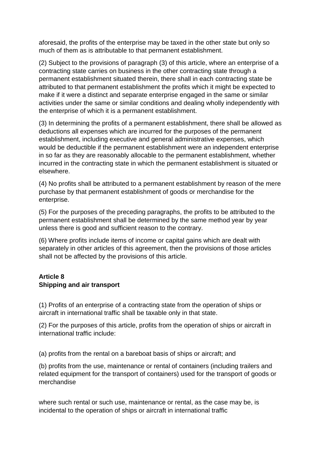aforesaid, the profits of the enterprise may be taxed in the other state but only so much of them as is attributable to that permanent establishment.

(2) Subject to the provisions of paragraph (3) of this article, where an enterprise of a contracting state carries on business in the other contracting state through a permanent establishment situated therein, there shall in each contracting state be attributed to that permanent establishment the profits which it might be expected to make if it were a distinct and separate enterprise engaged in the same or similar activities under the same or similar conditions and dealing wholly independently with the enterprise of which it is a permanent establishment.

(3) In determining the profits of a permanent establishment, there shall be allowed as deductions all expenses which are incurred for the purposes of the permanent establishment, including executive and general administrative expenses, which would be deductible if the permanent establishment were an independent enterprise in so far as they are reasonably allocable to the permanent establishment, whether incurred in the contracting state in which the permanent establishment is situated or elsewhere.

(4) No profits shall be attributed to a permanent establishment by reason of the mere purchase by that permanent establishment of goods or merchandise for the enterprise.

(5) For the purposes of the preceding paragraphs, the profits to be attributed to the permanent establishment shall be determined by the same method year by year unless there is good and sufficient reason to the contrary.

(6) Where profits include items of income or capital gains which are dealt with separately in other articles of this agreement, then the provisions of those articles shall not be affected by the provisions of this article.

## <span id="page-8-0"></span>**Article 8 Shipping and air transport**

(1) Profits of an enterprise of a contracting state from the operation of ships or aircraft in international traffic shall be taxable only in that state.

(2) For the purposes of this article, profits from the operation of ships or aircraft in international traffic include:

(a) profits from the rental on a bareboat basis of ships or aircraft; and

(b) profits from the use, maintenance or rental of containers (including trailers and related equipment for the transport of containers) used for the transport of goods or merchandise

where such rental or such use, maintenance or rental, as the case may be, is incidental to the operation of ships or aircraft in international traffic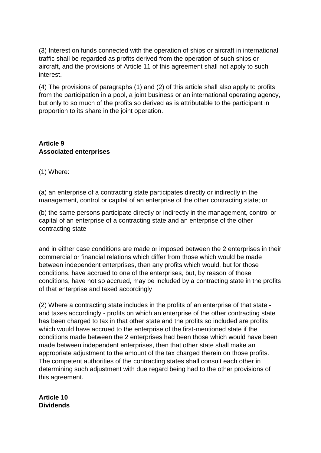(3) Interest on funds connected with the operation of ships or aircraft in international traffic shall be regarded as profits derived from the operation of such ships or aircraft, and the provisions of Article 11 of this agreement shall not apply to such interest.

(4) The provisions of paragraphs (1) and (2) of this article shall also apply to profits from the participation in a pool, a joint business or an international operating agency, but only to so much of the profits so derived as is attributable to the participant in proportion to its share in the joint operation.

#### <span id="page-9-0"></span>**Article 9 Associated enterprises**

(1) Where:

(a) an enterprise of a contracting state participates directly or indirectly in the management, control or capital of an enterprise of the other contracting state; or

(b) the same persons participate directly or indirectly in the management, control or capital of an enterprise of a contracting state and an enterprise of the other contracting state

and in either case conditions are made or imposed between the 2 enterprises in their commercial or financial relations which differ from those which would be made between independent enterprises, then any profits which would, but for those conditions, have accrued to one of the enterprises, but, by reason of those conditions, have not so accrued, may be included by a contracting state in the profits of that enterprise and taxed accordingly

(2) Where a contracting state includes in the profits of an enterprise of that state and taxes accordingly - profits on which an enterprise of the other contracting state has been charged to tax in that other state and the profits so included are profits which would have accrued to the enterprise of the first-mentioned state if the conditions made between the 2 enterprises had been those which would have been made between independent enterprises, then that other state shall make an appropriate adjustment to the amount of the tax charged therein on those profits. The competent authorities of the contracting states shall consult each other in determining such adjustment with due regard being had to the other provisions of this agreement.

<span id="page-9-1"></span>**Article 10 Dividends**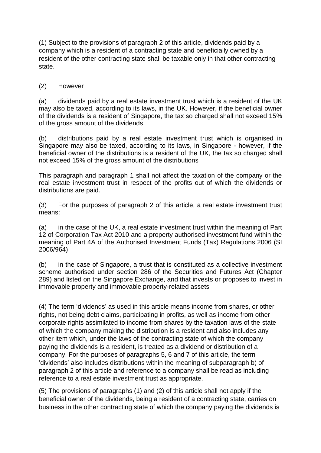(1) Subject to the provisions of paragraph 2 of this article, dividends paid by a company which is a resident of a contracting state and beneficially owned by a resident of the other contracting state shall be taxable only in that other contracting state.

#### (2) However

(a) dividends paid by a real estate investment trust which is a resident of the UK may also be taxed, according to its laws, in the UK. However, if the beneficial owner of the dividends is a resident of Singapore, the tax so charged shall not exceed 15% of the gross amount of the dividends

(b) distributions paid by a real estate investment trust which is organised in Singapore may also be taxed, according to its laws, in Singapore - however, if the beneficial owner of the distributions is a resident of the UK, the tax so charged shall not exceed 15% of the gross amount of the distributions

This paragraph and paragraph 1 shall not affect the taxation of the company or the real estate investment trust in respect of the profits out of which the dividends or distributions are paid.

(3) For the purposes of paragraph 2 of this article, a real estate investment trust means:

(a) in the case of the UK, a real estate investment trust within the meaning of Part 12 of Corporation Tax Act 2010 and a property authorised investment fund within the meaning of Part 4A of the Authorised Investment Funds (Tax) Regulations 2006 (SI 2006/964)

(b) in the case of Singapore, a trust that is constituted as a collective investment scheme authorised under section 286 of the Securities and Futures Act (Chapter 289) and listed on the Singapore Exchange, and that invests or proposes to invest in immovable property and immovable property-related assets

(4) The term 'dividends' as used in this article means income from shares, or other rights, not being debt claims, participating in profits, as well as income from other corporate rights assimilated to income from shares by the taxation laws of the state of which the company making the distribution is a resident and also includes any other item which, under the laws of the contracting state of which the company paying the dividends is a resident, is treated as a dividend or distribution of a company. For the purposes of paragraphs 5, 6 and 7 of this article, the term 'dividends' also includes distributions within the meaning of subparagraph b) of paragraph 2 of this article and reference to a company shall be read as including reference to a real estate investment trust as appropriate.

(5) The provisions of paragraphs (1) and (2) of this article shall not apply if the beneficial owner of the dividends, being a resident of a contracting state, carries on business in the other contracting state of which the company paying the dividends is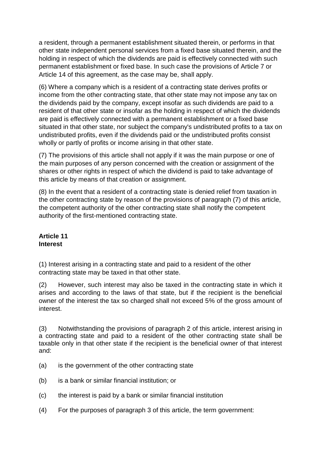a resident, through a permanent establishment situated therein, or performs in that other state independent personal services from a fixed base situated therein, and the holding in respect of which the dividends are paid is effectively connected with such permanent establishment or fixed base. In such case the provisions of Article 7 or Article 14 of this agreement, as the case may be, shall apply.

(6) Where a company which is a resident of a contracting state derives profits or income from the other contracting state, that other state may not impose any tax on the dividends paid by the company, except insofar as such dividends are paid to a resident of that other state or insofar as the holding in respect of which the dividends are paid is effectively connected with a permanent establishment or a fixed base situated in that other state, nor subject the company's undistributed profits to a tax on undistributed profits, even if the dividends paid or the undistributed profits consist wholly or partly of profits or income arising in that other state.

(7) The provisions of this article shall not apply if it was the main purpose or one of the main purposes of any person concerned with the creation or assignment of the shares or other rights in respect of which the dividend is paid to take advantage of this article by means of that creation or assignment.

(8) In the event that a resident of a contracting state is denied relief from taxation in the other contracting state by reason of the provisions of paragraph (7) of this article, the competent authority of the other contracting state shall notify the competent authority of the first-mentioned contracting state.

#### <span id="page-11-0"></span>**Article 11 Interest**

(1) Interest arising in a contracting state and paid to a resident of the other contracting state may be taxed in that other state.

(2) However, such interest may also be taxed in the contracting state in which it arises and according to the laws of that state, but if the recipient is the beneficial owner of the interest the tax so charged shall not exceed 5% of the gross amount of interest.

(3) Notwithstanding the provisions of paragraph 2 of this article, interest arising in a contracting state and paid to a resident of the other contracting state shall be taxable only in that other state if the recipient is the beneficial owner of that interest and:

- (a) is the government of the other contracting state
- (b) is a bank or similar financial institution; or
- (c) the interest is paid by a bank or similar financial institution
- (4) For the purposes of paragraph 3 of this article, the term government: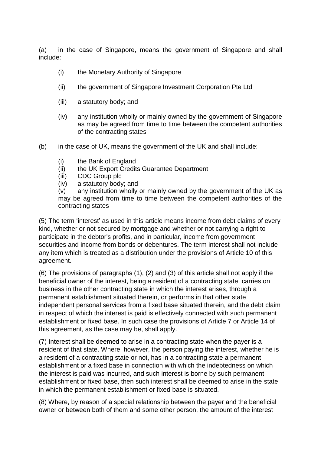(a) in the case of Singapore, means the government of Singapore and shall include:

- (i) the Monetary Authority of Singapore
- (ii) the government of Singapore Investment Corporation Pte Ltd
- (iii) a statutory body; and
- (iv) any institution wholly or mainly owned by the government of Singapore as may be agreed from time to time between the competent authorities of the contracting states
- (b) in the case of UK, means the government of the UK and shall include:
	- (i) the Bank of England
	- (ii) the UK Export Credits Guarantee Department
	- (iii) CDC Group plc
	- (iv) a statutory body; and

(v) any institution wholly or mainly owned by the government of the UK as may be agreed from time to time between the competent authorities of the contracting states

(5) The term 'interest' as used in this article means income from debt claims of every kind, whether or not secured by mortgage and whether or not carrying a right to participate in the debtor's profits, and in particular, income from government securities and income from bonds or debentures. The term interest shall not include any item which is treated as a distribution under the provisions of Article 10 of this agreement.

(6) The provisions of paragraphs (1), (2) and (3) of this article shall not apply if the beneficial owner of the interest, being a resident of a contracting state, carries on business in the other contracting state in which the interest arises, through a permanent establishment situated therein, or performs in that other state independent personal services from a fixed base situated therein, and the debt claim in respect of which the interest is paid is effectively connected with such permanent establishment or fixed base. In such case the provisions of Article 7 or Article 14 of this agreement, as the case may be, shall apply.

(7) Interest shall be deemed to arise in a contracting state when the payer is a resident of that state. Where, however, the person paying the interest, whether he is a resident of a contracting state or not, has in a contracting state a permanent establishment or a fixed base in connection with which the indebtedness on which the interest is paid was incurred, and such interest is borne by such permanent establishment or fixed base, then such interest shall be deemed to arise in the state in which the permanent establishment or fixed base is situated.

(8) Where, by reason of a special relationship between the payer and the beneficial owner or between both of them and some other person, the amount of the interest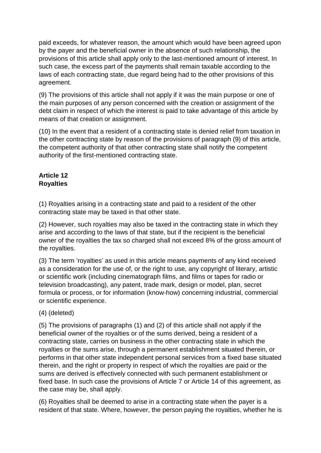paid exceeds, for whatever reason, the amount which would have been agreed upon by the payer and the beneficial owner in the absence of such relationship, the provisions of this article shall apply only to the last-mentioned amount of interest. In such case, the excess part of the payments shall remain taxable according to the laws of each contracting state, due regard being had to the other provisions of this agreement.

(9) The provisions of this article shall not apply if it was the main purpose or one of the main purposes of any person concerned with the creation or assignment of the debt claim in respect of which the interest is paid to take advantage of this article by means of that creation or assignment.

(10) In the event that a resident of a contracting state is denied relief from taxation in the other contracting state by reason of the provisions of paragraph (9) of this article, the competent authority of that other contracting state shall notify the competent authority of the first-mentioned contracting state.

#### <span id="page-13-0"></span>**Article 12 Royalties**

(1) Royalties arising in a contracting state and paid to a resident of the other contracting state may be taxed in that other state.

(2) However, such royalties may also be taxed in the contracting state in which they arise and according to the laws of that state, but if the recipient is the beneficial owner of the royalties the tax so charged shall not exceed 8% of the gross amount of the royalties.

(3) The term 'royalties' as used in this article means payments of any kind received as a consideration for the use of, or the right to use, any copyright of literary, artistic or scientific work (including cinematograph films, and films or tapes for radio or television broadcasting), any patent, trade mark, design or model, plan, secret formula or process, or for information (know-how) concerning industrial, commercial or scientific experience.

(4) (deleted)

(5) The provisions of paragraphs (1) and (2) of this article shall not apply if the beneficial owner of the royalties or of the sums derived, being a resident of a contracting state, carries on business in the other contracting state in which the royalties or the sums arise, through a permanent establishment situated therein, or performs in that other state independent personal services from a fixed base situated therein, and the right or property in respect of which the royalties are paid or the sums are derived is effectively connected with such permanent establishment or fixed base. In such case the provisions of Article 7 or Article 14 of this agreement, as the case may be, shall apply.

(6) Royalties shall be deemed to arise in a contracting state when the payer is a resident of that state. Where, however, the person paying the royalties, whether he is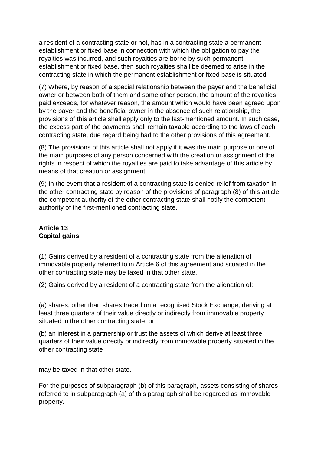a resident of a contracting state or not, has in a contracting state a permanent establishment or fixed base in connection with which the obligation to pay the royalties was incurred, and such royalties are borne by such permanent establishment or fixed base, then such royalties shall be deemed to arise in the contracting state in which the permanent establishment or fixed base is situated.

(7) Where, by reason of a special relationship between the payer and the beneficial owner or between both of them and some other person, the amount of the royalties paid exceeds, for whatever reason, the amount which would have been agreed upon by the payer and the beneficial owner in the absence of such relationship, the provisions of this article shall apply only to the last-mentioned amount. In such case, the excess part of the payments shall remain taxable according to the laws of each contracting state, due regard being had to the other provisions of this agreement.

(8) The provisions of this article shall not apply if it was the main purpose or one of the main purposes of any person concerned with the creation or assignment of the rights in respect of which the royalties are paid to take advantage of this article by means of that creation or assignment.

(9) In the event that a resident of a contracting state is denied relief from taxation in the other contracting state by reason of the provisions of paragraph (8) of this article, the competent authority of the other contracting state shall notify the competent authority of the first-mentioned contracting state.

#### <span id="page-14-0"></span>**Article 13 Capital gains**

(1) Gains derived by a resident of a contracting state from the alienation of immovable property referred to in Article 6 of this agreement and situated in the other contracting state may be taxed in that other state.

(2) Gains derived by a resident of a contracting state from the alienation of:

(a) shares, other than shares traded on a recognised Stock Exchange, deriving at least three quarters of their value directly or indirectly from immovable property situated in the other contracting state, or

(b) an interest in a partnership or trust the assets of which derive at least three quarters of their value directly or indirectly from immovable property situated in the other contracting state

may be taxed in that other state.

For the purposes of subparagraph (b) of this paragraph, assets consisting of shares referred to in subparagraph (a) of this paragraph shall be regarded as immovable property.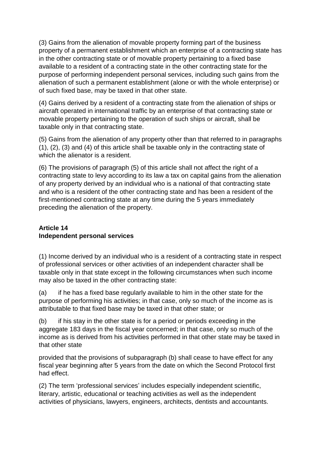(3) Gains from the alienation of movable property forming part of the business property of a permanent establishment which an enterprise of a contracting state has in the other contracting state or of movable property pertaining to a fixed base available to a resident of a contracting state in the other contracting state for the purpose of performing independent personal services, including such gains from the alienation of such a permanent establishment (alone or with the whole enterprise) or of such fixed base, may be taxed in that other state.

(4) Gains derived by a resident of a contracting state from the alienation of ships or aircraft operated in international traffic by an enterprise of that contracting state or movable property pertaining to the operation of such ships or aircraft, shall be taxable only in that contracting state.

(5) Gains from the alienation of any property other than that referred to in paragraphs (1), (2), (3) and (4) of this article shall be taxable only in the contracting state of which the alienator is a resident.

(6) The provisions of paragraph (5) of this article shall not affect the right of a contracting state to levy according to its law a tax on capital gains from the alienation of any property derived by an individual who is a national of that contracting state and who is a resident of the other contracting state and has been a resident of the first-mentioned contracting state at any time during the 5 years immediately preceding the alienation of the property.

#### <span id="page-15-0"></span>**Article 14 Independent personal services**

(1) Income derived by an individual who is a resident of a contracting state in respect of professional services or other activities of an independent character shall be taxable only in that state except in the following circumstances when such income may also be taxed in the other contracting state:

(a) if he has a fixed base regularly available to him in the other state for the purpose of performing his activities; in that case, only so much of the income as is attributable to that fixed base may be taxed in that other state; or

(b) if his stay in the other state is for a period or periods exceeding in the aggregate 183 days in the fiscal year concerned; in that case, only so much of the income as is derived from his activities performed in that other state may be taxed in that other state

provided that the provisions of subparagraph (b) shall cease to have effect for any fiscal year beginning after 5 years from the date on which the Second Protocol first had effect.

(2) The term 'professional services' includes especially independent scientific, literary, artistic, educational or teaching activities as well as the independent activities of physicians, lawyers, engineers, architects, dentists and accountants.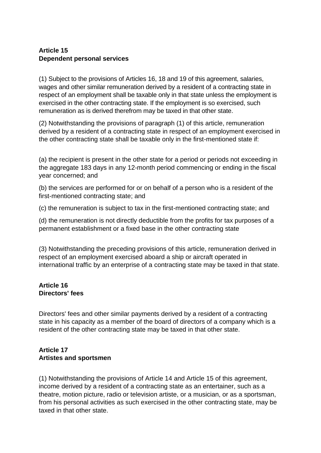#### <span id="page-16-0"></span>**Article 15 Dependent personal services**

(1) Subject to the provisions of Articles 16, 18 and 19 of this agreement, salaries, wages and other similar remuneration derived by a resident of a contracting state in respect of an employment shall be taxable only in that state unless the employment is exercised in the other contracting state. If the employment is so exercised, such remuneration as is derived therefrom may be taxed in that other state.

(2) Notwithstanding the provisions of paragraph (1) of this article, remuneration derived by a resident of a contracting state in respect of an employment exercised in the other contracting state shall be taxable only in the first-mentioned state if:

(a) the recipient is present in the other state for a period or periods not exceeding in the aggregate 183 days in any 12-month period commencing or ending in the fiscal year concerned; and

(b) the services are performed for or on behalf of a person who is a resident of the first-mentioned contracting state; and

(c) the remuneration is subject to tax in the first-mentioned contracting state; and

(d) the remuneration is not directly deductible from the profits for tax purposes of a permanent establishment or a fixed base in the other contracting state

(3) Notwithstanding the preceding provisions of this article, remuneration derived in respect of an employment exercised aboard a ship or aircraft operated in international traffic by an enterprise of a contracting state may be taxed in that state.

## <span id="page-16-1"></span>**Article 16 Directors' fees**

Directors' fees and other similar payments derived by a resident of a contracting state in his capacity as a member of the board of directors of a company which is a resident of the other contracting state may be taxed in that other state.

# <span id="page-16-2"></span>**Article 17 Artistes and sportsmen**

(1) Notwithstanding the provisions of Article 14 and Article 15 of this agreement, income derived by a resident of a contracting state as an entertainer, such as a theatre, motion picture, radio or television artiste, or a musician, or as a sportsman, from his personal activities as such exercised in the other contracting state, may be taxed in that other state.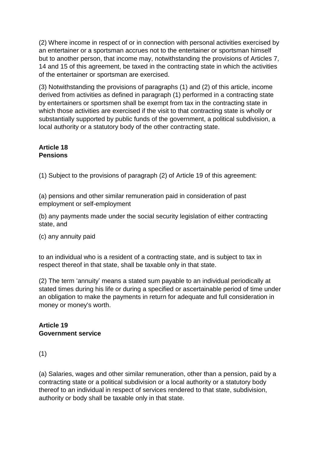(2) Where income in respect of or in connection with personal activities exercised by an entertainer or a sportsman accrues not to the entertainer or sportsman himself but to another person, that income may, notwithstanding the provisions of Articles 7, 14 and 15 of this agreement, be taxed in the contracting state in which the activities of the entertainer or sportsman are exercised.

(3) Notwithstanding the provisions of paragraphs (1) and (2) of this article, income derived from activities as defined in paragraph (1) performed in a contracting state by entertainers or sportsmen shall be exempt from tax in the contracting state in which those activities are exercised if the visit to that contracting state is wholly or substantially supported by public funds of the government, a political subdivision, a local authority or a statutory body of the other contracting state.

#### <span id="page-17-0"></span>**Article 18 Pensions**

(1) Subject to the provisions of paragraph (2) of Article 19 of this agreement:

(a) pensions and other similar remuneration paid in consideration of past employment or self-employment

(b) any payments made under the social security legislation of either contracting state, and

(c) any annuity paid

to an individual who is a resident of a contracting state, and is subject to tax in respect thereof in that state, shall be taxable only in that state.

(2) The term 'annuity' means a stated sum payable to an individual periodically at stated times during his life or during a specified or ascertainable period of time under an obligation to make the payments in return for adequate and full consideration in money or money's worth.

#### <span id="page-17-1"></span>**Article 19 Government service**

(1)

(a) Salaries, wages and other similar remuneration, other than a pension, paid by a contracting state or a political subdivision or a local authority or a statutory body thereof to an individual in respect of services rendered to that state, subdivision, authority or body shall be taxable only in that state.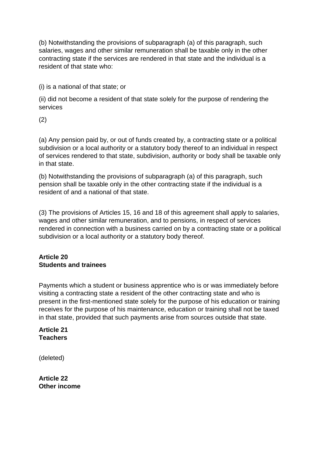(b) Notwithstanding the provisions of subparagraph (a) of this paragraph, such salaries, wages and other similar remuneration shall be taxable only in the other contracting state if the services are rendered in that state and the individual is a resident of that state who:

(i) is a national of that state; or

(ii) did not become a resident of that state solely for the purpose of rendering the services

(2)

(a) Any pension paid by, or out of funds created by, a contracting state or a political subdivision or a local authority or a statutory body thereof to an individual in respect of services rendered to that state, subdivision, authority or body shall be taxable only in that state.

(b) Notwithstanding the provisions of subparagraph (a) of this paragraph, such pension shall be taxable only in the other contracting state if the individual is a resident of and a national of that state.

(3) The provisions of Articles 15, 16 and 18 of this agreement shall apply to salaries, wages and other similar remuneration, and to pensions, in respect of services rendered in connection with a business carried on by a contracting state or a political subdivision or a local authority or a statutory body thereof.

## <span id="page-18-0"></span>**Article 20 Students and trainees**

Payments which a student or business apprentice who is or was immediately before visiting a contracting state a resident of the other contracting state and who is present in the first-mentioned state solely for the purpose of his education or training receives for the purpose of his maintenance, education or training shall not be taxed in that state, provided that such payments arise from sources outside that state.

#### <span id="page-18-1"></span>**Article 21 Teachers**

(deleted)

<span id="page-18-2"></span>**Article 22 Other income**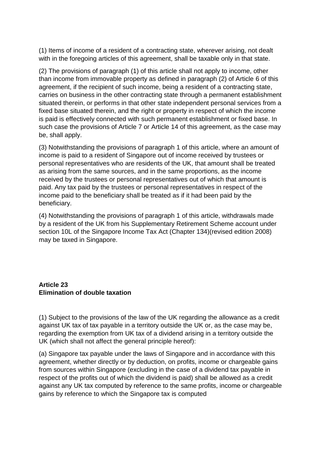(1) Items of income of a resident of a contracting state, wherever arising, not dealt with in the foregoing articles of this agreement, shall be taxable only in that state.

(2) The provisions of paragraph (1) of this article shall not apply to income, other than income from immovable property as defined in paragraph (2) of Article 6 of this agreement, if the recipient of such income, being a resident of a contracting state, carries on business in the other contracting state through a permanent establishment situated therein, or performs in that other state independent personal services from a fixed base situated therein, and the right or property in respect of which the income is paid is effectively connected with such permanent establishment or fixed base. In such case the provisions of Article 7 or Article 14 of this agreement, as the case may be, shall apply.

(3) Notwithstanding the provisions of paragraph 1 of this article, where an amount of income is paid to a resident of Singapore out of income received by trustees or personal representatives who are residents of the UK, that amount shall be treated as arising from the same sources, and in the same proportions, as the income received by the trustees or personal representatives out of which that amount is paid. Any tax paid by the trustees or personal representatives in respect of the income paid to the beneficiary shall be treated as if it had been paid by the beneficiary.

(4) Notwithstanding the provisions of paragraph 1 of this article, withdrawals made by a resident of the UK from his Supplementary Retirement Scheme account under section 10L of the Singapore Income Tax Act (Chapter 134)(revised edition 2008) may be taxed in Singapore.

#### <span id="page-19-0"></span>**Article 23 Elimination of double taxation**

(1) Subject to the provisions of the law of the UK regarding the allowance as a credit against UK tax of tax payable in a territory outside the UK or, as the case may be, regarding the exemption from UK tax of a dividend arising in a territory outside the UK (which shall not affect the general principle hereof):

(a) Singapore tax payable under the laws of Singapore and in accordance with this agreement, whether directly or by deduction, on profits, income or chargeable gains from sources within Singapore (excluding in the case of a dividend tax payable in respect of the profits out of which the dividend is paid) shall be allowed as a credit against any UK tax computed by reference to the same profits, income or chargeable gains by reference to which the Singapore tax is computed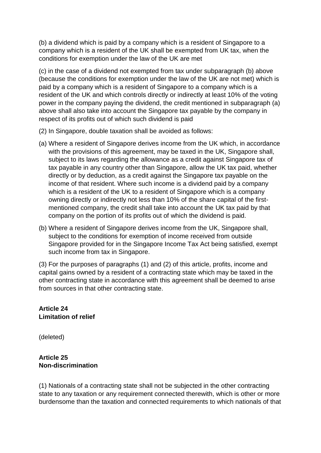(b) a dividend which is paid by a company which is a resident of Singapore to a company which is a resident of the UK shall be exempted from UK tax, when the conditions for exemption under the law of the UK are met

(c) in the case of a dividend not exempted from tax under subparagraph (b) above (because the conditions for exemption under the law of the UK are not met) which is paid by a company which is a resident of Singapore to a company which is a resident of the UK and which controls directly or indirectly at least 10% of the voting power in the company paying the dividend, the credit mentioned in subparagraph (a) above shall also take into account the Singapore tax payable by the company in respect of its profits out of which such dividend is paid

- (2) In Singapore, double taxation shall be avoided as follows:
- (a) Where a resident of Singapore derives income from the UK which, in accordance with the provisions of this agreement, may be taxed in the UK, Singapore shall, subject to its laws regarding the allowance as a credit against Singapore tax of tax payable in any country other than Singapore, allow the UK tax paid, whether directly or by deduction, as a credit against the Singapore tax payable on the income of that resident. Where such income is a dividend paid by a company which is a resident of the UK to a resident of Singapore which is a company owning directly or indirectly not less than 10% of the share capital of the firstmentioned company, the credit shall take into account the UK tax paid by that company on the portion of its profits out of which the dividend is paid*.*
- (b) Where a resident of Singapore derives income from the UK, Singapore shall, subject to the conditions for exemption of income received from outside Singapore provided for in the Singapore Income Tax Act being satisfied, exempt such income from tax in Singapore.

(3) For the purposes of paragraphs (1) and (2) of this article, profits, income and capital gains owned by a resident of a contracting state which may be taxed in the other contracting state in accordance with this agreement shall be deemed to arise from sources in that other contracting state.

<span id="page-20-0"></span>**Article 24 Limitation of relief**

(deleted)

#### <span id="page-20-1"></span>**Article 25 Non-discrimination**

(1) Nationals of a contracting state shall not be subjected in the other contracting state to any taxation or any requirement connected therewith, which is other or more burdensome than the taxation and connected requirements to which nationals of that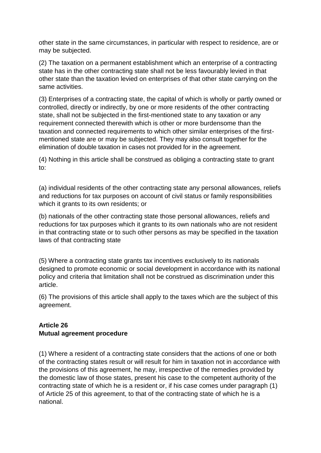other state in the same circumstances, in particular with respect to residence, are or may be subjected.

(2) The taxation on a permanent establishment which an enterprise of a contracting state has in the other contracting state shall not be less favourably levied in that other state than the taxation levied on enterprises of that other state carrying on the same activities.

(3) Enterprises of a contracting state, the capital of which is wholly or partly owned or controlled, directly or indirectly, by one or more residents of the other contracting state, shall not be subjected in the first-mentioned state to any taxation or any requirement connected therewith which is other or more burdensome than the taxation and connected requirements to which other similar enterprises of the firstmentioned state are or may be subjected. They may also consult together for the elimination of double taxation in cases not provided for in the agreement.

(4) Nothing in this article shall be construed as obliging a contracting state to grant to:

(a) individual residents of the other contracting state any personal allowances, reliefs and reductions for tax purposes on account of civil status or family responsibilities which it grants to its own residents; or

(b) nationals of the other contracting state those personal allowances, reliefs and reductions for tax purposes which it grants to its own nationals who are not resident in that contracting state or to such other persons as may be specified in the taxation laws of that contracting state

(5) Where a contracting state grants tax incentives exclusively to its nationals designed to promote economic or social development in accordance with its national policy and criteria that limitation shall not be construed as discrimination under this article.

(6) The provisions of this article shall apply to the taxes which are the subject of this agreement.

# <span id="page-21-0"></span>**Article 26 Mutual agreement procedure**

(1) Where a resident of a contracting state considers that the actions of one or both of the contracting states result or will result for him in taxation not in accordance with the provisions of this agreement, he may, irrespective of the remedies provided by the domestic law of those states, present his case to the competent authority of the contracting state of which he is a resident or, if his case comes under paragraph (1) of Article 25 of this agreement, to that of the contracting state of which he is a national.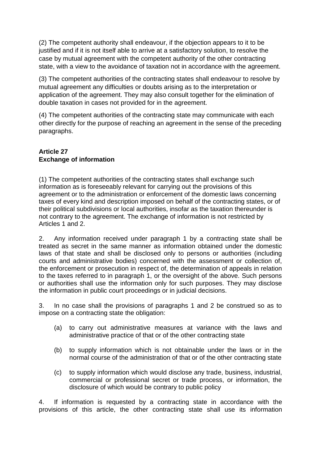(2) The competent authority shall endeavour, if the objection appears to it to be justified and if it is not itself able to arrive at a satisfactory solution, to resolve the case by mutual agreement with the competent authority of the other contracting state, with a view to the avoidance of taxation not in accordance with the agreement.

(3) The competent authorities of the contracting states shall endeavour to resolve by mutual agreement any difficulties or doubts arising as to the interpretation or application of the agreement. They may also consult together for the elimination of double taxation in cases not provided for in the agreement.

(4) The competent authorities of the contracting state may communicate with each other directly for the purpose of reaching an agreement in the sense of the preceding paragraphs.

#### <span id="page-22-0"></span>**Article 27 Exchange of information**

(1) The competent authorities of the contracting states shall exchange such information as is foreseeably relevant for carrying out the provisions of this agreement or to the administration or enforcement of the domestic laws concerning taxes of every kind and description imposed on behalf of the contracting states, or of their political subdivisions or local authorities, insofar as the taxation thereunder is not contrary to the agreement. The exchange of information is not restricted by Articles 1 and 2.

2. Any information received under paragraph 1 by a contracting state shall be treated as secret in the same manner as information obtained under the domestic laws of that state and shall be disclosed only to persons or authorities (including courts and administrative bodies) concerned with the assessment or collection of, the enforcement or prosecution in respect of, the determination of appeals in relation to the taxes referred to in paragraph 1, or the oversight of the above. Such persons or authorities shall use the information only for such purposes. They may disclose the information in public court proceedings or in judicial decisions.

3. In no case shall the provisions of paragraphs 1 and 2 be construed so as to impose on a contracting state the obligation:

- (a) to carry out administrative measures at variance with the laws and administrative practice of that or of the other contracting state
- (b) to supply information which is not obtainable under the laws or in the normal course of the administration of that or of the other contracting state
- (c) to supply information which would disclose any trade, business, industrial, commercial or professional secret or trade process, or information, the disclosure of which would be contrary to public policy

4. If information is requested by a contracting state in accordance with the provisions of this article, the other contracting state shall use its information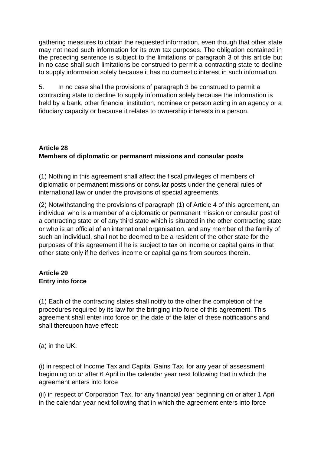gathering measures to obtain the requested information, even though that other state may not need such information for its own tax purposes. The obligation contained in the preceding sentence is subject to the limitations of paragraph 3 of this article but in no case shall such limitations be construed to permit a contracting state to decline to supply information solely because it has no domestic interest in such information.

5. In no case shall the provisions of paragraph 3 be construed to permit a contracting state to decline to supply information solely because the information is held by a bank, other financial institution, nominee or person acting in an agency or a fiduciary capacity or because it relates to ownership interests in a person.

## <span id="page-23-0"></span>**Article 28 Members of diplomatic or permanent missions and consular posts**

(1) Nothing in this agreement shall affect the fiscal privileges of members of diplomatic or permanent missions or consular posts under the general rules of international law or under the provisions of special agreements.

(2) Notwithstanding the provisions of paragraph (1) of Article 4 of this agreement, an individual who is a member of a diplomatic or permanent mission or consular post of a contracting state or of any third state which is situated in the other contracting state or who is an official of an international organisation, and any member of the family of such an individual, shall not be deemed to be a resident of the other state for the purposes of this agreement if he is subject to tax on income or capital gains in that other state only if he derives income or capital gains from sources therein.

#### <span id="page-23-1"></span>**Article 29 Entry into force**

(1) Each of the contracting states shall notify to the other the completion of the procedures required by its law for the bringing into force of this agreement. This agreement shall enter into force on the date of the later of these notifications and shall thereupon have effect:

(a) in the UK:

(i) in respect of Income Tax and Capital Gains Tax, for any year of assessment beginning on or after 6 April in the calendar year next following that in which the agreement enters into force

(ii) in respect of Corporation Tax, for any financial year beginning on or after 1 April in the calendar year next following that in which the agreement enters into force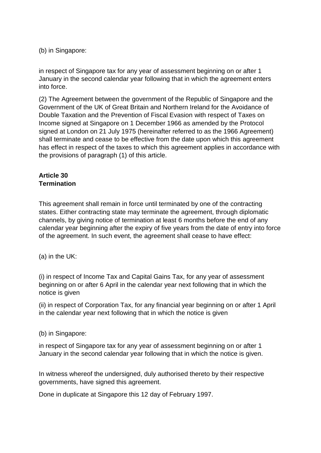(b) in Singapore:

in respect of Singapore tax for any year of assessment beginning on or after 1 January in the second calendar year following that in which the agreement enters into force.

(2) The Agreement between the government of the Republic of Singapore and the Government of the UK of Great Britain and Northern Ireland for the Avoidance of Double Taxation and the Prevention of Fiscal Evasion with respect of Taxes on Income signed at Singapore on 1 December 1966 as amended by the Protocol signed at London on 21 July 1975 (hereinafter referred to as the 1966 Agreement) shall terminate and cease to be effective from the date upon which this agreement has effect in respect of the taxes to which this agreement applies in accordance with the provisions of paragraph (1) of this article.

#### <span id="page-24-0"></span>**Article 30 Termination**

This agreement shall remain in force until terminated by one of the contracting states. Either contracting state may terminate the agreement, through diplomatic channels, by giving notice of termination at least 6 months before the end of any calendar year beginning after the expiry of five years from the date of entry into force of the agreement. In such event, the agreement shall cease to have effect:

(a) in the UK:

(i) in respect of Income Tax and Capital Gains Tax, for any year of assessment beginning on or after 6 April in the calendar year next following that in which the notice is given

(ii) in respect of Corporation Tax, for any financial year beginning on or after 1 April in the calendar year next following that in which the notice is given

(b) in Singapore:

in respect of Singapore tax for any year of assessment beginning on or after 1 January in the second calendar year following that in which the notice is given.

In witness whereof the undersigned, duly authorised thereto by their respective governments, have signed this agreement.

Done in duplicate at Singapore this 12 day of February 1997.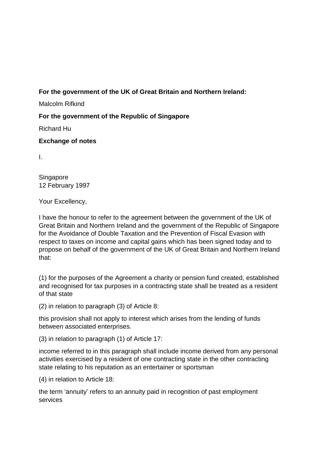# **For the government of the UK of Great Britain and Northern Ireland:**

Malcolm Rifkind

## **For the government of the Republic of Singapore**

Richard Hu

#### **Exchange of notes**

I.

Singapore 12 February 1997

Your Excellency,

I have the honour to refer to the agreement between the government of the UK of Great Britain and Northern Ireland and the government of the Republic of Singapore for the Avoidance of Double Taxation and the Prevention of Fiscal Evasion with respect to taxes on income and capital gains which has been signed today and to propose on behalf of the government of the UK of Great Britain and Northern Ireland that:

(1) for the purposes of the Agreement a charity or pension fund created, established and recognised for tax purposes in a contracting state shall be treated as a resident of that state

(2) in relation to paragraph (3) of Article 8:

this provision shall not apply to interest which arises from the lending of funds between associated enterprises.

(3) in relation to paragraph (1) of Article 17:

income referred to in this paragraph shall include income derived from any personal activities exercised by a resident of one contracting state in the other contracting state relating to his reputation as an entertainer or sportsman

(4) in relation to Article 18:

the term 'annuity' refers to an annuity paid in recognition of past employment services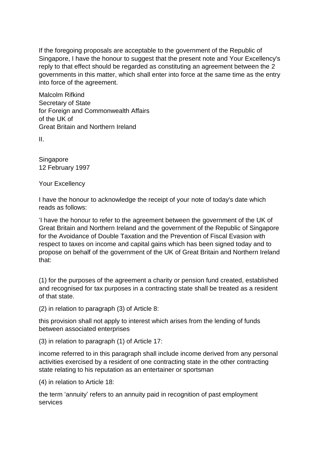If the foregoing proposals are acceptable to the government of the Republic of Singapore, I have the honour to suggest that the present note and Your Excellency's reply to that effect should be regarded as constituting an agreement between the 2 governments in this matter, which shall enter into force at the same time as the entry into force of the agreement.

Malcolm Rifkind Secretary of State for Foreign and Commonwealth Affairs of the UK of Great Britain and Northern Ireland

II.

**Singapore** 12 February 1997

Your Excellency

I have the honour to acknowledge the receipt of your note of today's date which reads as follows:

'I have the honour to refer to the agreement between the government of the UK of Great Britain and Northern Ireland and the government of the Republic of Singapore for the Avoidance of Double Taxation and the Prevention of Fiscal Evasion with respect to taxes on income and capital gains which has been signed today and to propose on behalf of the government of the UK of Great Britain and Northern Ireland that:

(1) for the purposes of the agreement a charity or pension fund created, established and recognised for tax purposes in a contracting state shall be treated as a resident of that state.

(2) in relation to paragraph (3) of Article 8:

this provision shall not apply to interest which arises from the lending of funds between associated enterprises

(3) in relation to paragraph (1) of Article 17:

income referred to in this paragraph shall include income derived from any personal activities exercised by a resident of one contracting state in the other contracting state relating to his reputation as an entertainer or sportsman

(4) in relation to Article 18:

the term 'annuity' refers to an annuity paid in recognition of past employment services